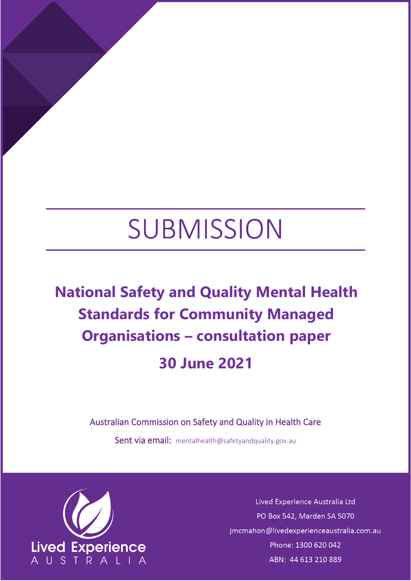# SUBMISSION

# **National Safety and Quality Mental Health Standards for Community Managed Organisations – consultation paper 30 June 2021**

Australian Commission on Safety and Quality in Health Care

Sent via email: [mentalhealth@safetyandquality.gov.au](mailto:mentalhealth@safetyandquality.gov.au)



Lived Experience Australia Ltd PO Box 542, Marden SA 5070 jmcmahon@livedexperienceaustralia.com.au Phone: 1300 620 042 ABN: 44 613 210 889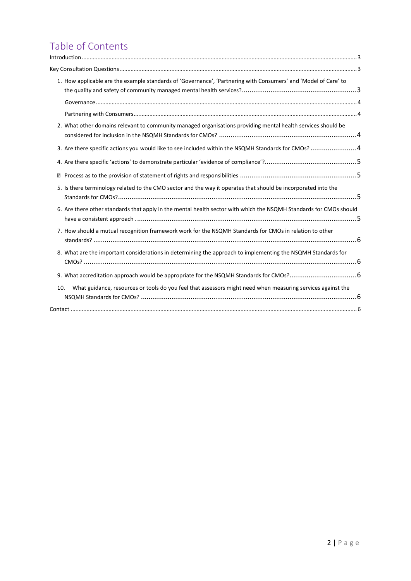# Table of Contents

|                | 1. How applicable are the example standards of 'Governance', 'Partnering with Consumers' and 'Model of Care' to    |  |
|----------------|--------------------------------------------------------------------------------------------------------------------|--|
|                |                                                                                                                    |  |
|                | 2. What other domains relevant to community managed organisations providing mental health services should be       |  |
|                | 3. Are there specific actions you would like to see included within the NSQMH Standards for CMOs? 4                |  |
|                |                                                                                                                    |  |
| $\overline{2}$ |                                                                                                                    |  |
|                | 5. Is there terminology related to the CMO sector and the way it operates that should be incorporated into the     |  |
|                | 6. Are there other standards that apply in the mental health sector with which the NSQMH Standards for CMOs should |  |
|                | 7. How should a mutual recognition framework work for the NSQMH Standards for CMOs in relation to other            |  |
|                | 8. What are the important considerations in determining the approach to implementing the NSQMH Standards for       |  |
|                |                                                                                                                    |  |
| 10.            | What guidance, resources or tools do you feel that assessors might need when measuring services against the        |  |
|                |                                                                                                                    |  |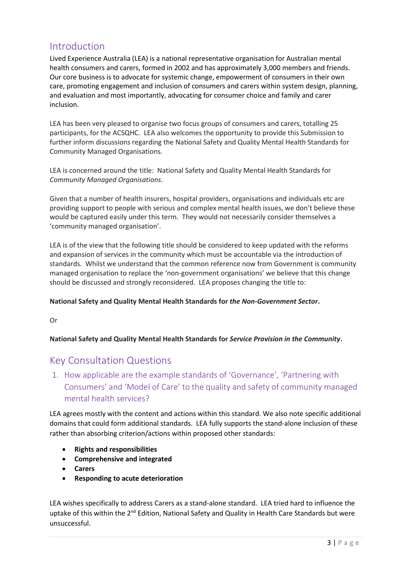# <span id="page-2-0"></span>Introduction

Lived Experience Australia (LEA) is a national representative organisation for Australian mental health consumers and carers, formed in 2002 and has approximately 3,000 members and friends. Our core business is to advocate for systemic change, empowerment of consumers in their own care, promoting engagement and inclusion of consumers and carers within system design, planning, and evaluation and most importantly, advocating for consumer choice and family and carer inclusion.

LEA has been very pleased to organise two focus groups of consumers and carers, totalling 25 participants, for the ACSQHC. LEA also welcomes the opportunity to provide this Submission to further inform discussions regarding the National Safety and Quality Mental Health Standards for Community Managed Organisations.

LEA is concerned around the title: National Safety and Quality Mental Health Standards for *Community Managed Organisations*.

Given that a number of health insurers, hospital providers, organisations and individuals etc are providing support to people with serious and complex mental health issues, we don't believe these would be captured easily under this term. They would not necessarily consider themselves a 'community managed organisation'.

LEA is of the view that the following title should be considered to keep updated with the reforms and expansion of services in the community which must be accountable via the introduction of standards. Whilst we understand that the common reference now from Government is community managed organisation to replace the 'non-government organisations' we believe that this change should be discussed and strongly reconsidered. LEA proposes changing the title to:

#### **National Safety and Quality Mental Health Standards for** *the Non-Government Sector***.**

Or

#### **National Safety and Quality Mental Health Standards for** *Service Provision in the Community***.**

## <span id="page-2-1"></span>Key Consultation Questions

<span id="page-2-2"></span>1. How applicable are the example standards of 'Governance', 'Partnering with Consumers' and 'Model of Care' to the quality and safety of community managed mental health services?

LEA agrees mostly with the content and actions within this standard. We also note specific additional domains that could form additional standards. LEA fully supports the stand-alone inclusion of these rather than absorbing criterion/actions within proposed other standards:

- **Rights and responsibilities**
- **Comprehensive and integrated**
- **Carers**
- **Responding to acute deterioration**

LEA wishes specifically to address Carers as a stand-alone standard. LEA tried hard to influence the uptake of this within the  $2^{nd}$  Edition, National Safety and Quality in Health Care Standards but were unsuccessful.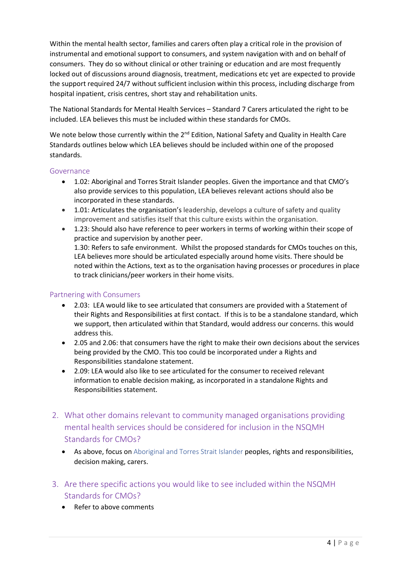Within the mental health sector, families and carers often play a critical role in the provision of instrumental and emotional support to consumers, and system navigation with and on behalf of consumers. They do so without clinical or other training or education and are most frequently locked out of discussions around diagnosis, treatment, medications etc yet are expected to provide the support required 24/7 without sufficient inclusion within this process, including discharge from hospital inpatient, crisis centres, short stay and rehabilitation units.

The National Standards for Mental Health Services – Standard 7 Carers articulated the right to be included. LEA believes this must be included within these standards for CMOs.

We note below those currently within the 2<sup>nd</sup> Edition, National Safety and Quality in Health Care Standards outlines below which LEA believes should be included within one of the proposed standards.

#### <span id="page-3-0"></span>Governance

- 1.02: Aboriginal and Torres Strait Islander peoples. Given the importance and that CMO's also provide services to this population, LEA believes relevant actions should also be incorporated in these standards.
- 1.01: Articulates the organisation's leadership, develops a culture of safety and quality improvement and satisfies itself that this culture exists within the organisation.
- 1.23: Should also have reference to peer workers in terms of working within their scope of practice and supervision by another peer. 1.30: Refers to safe environment. Whilst the proposed standards for CMOs touches on this, LEA believes more should be articulated especially around home visits. There should be noted within the Actions, text as to the organisation having processes or procedures in place to track clinicians/peer workers in their home visits.

#### <span id="page-3-1"></span>Partnering with Consumers

- 2.03: LEA would like to see articulated that consumers are provided with a Statement of their Rights and Responsibilities at first contact. If this is to be a standalone standard, which we support, then articulated within that Standard, would address our concerns. this would address this.
- 2.05 and 2.06: that consumers have the right to make their own decisions about the services being provided by the CMO. This too could be incorporated under a Rights and Responsibilities standalone statement.
- 2.09: LEA would also like to see articulated for the consumer to received relevant information to enable decision making, as incorporated in a standalone Rights and Responsibilities statement.
- <span id="page-3-2"></span>2. What other domains relevant to community managed organisations providing mental health services should be considered for inclusion in the NSQMH Standards for CMOs?
	- As above, focus on Aboriginal and Torres Strait Islander peoples, rights and responsibilities, decision making, carers.
- <span id="page-3-3"></span>3. Are there specific actions you would like to see included within the NSQMH Standards for CMOs?
	- Refer to above comments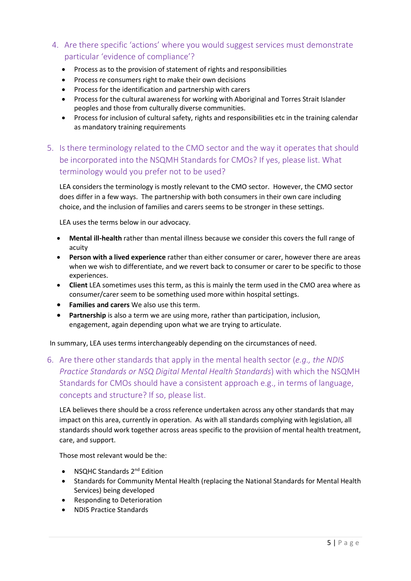- <span id="page-4-1"></span><span id="page-4-0"></span>4. Are there specific 'actions' where you would suggest services must demonstrate particular 'evidence of compliance'?
	- Process as to the provision of statement of rights and responsibilities
	- Process re consumers right to make their own decisions
	- Process for the identification and partnership with carers
	- Process for the cultural awareness for working with Aboriginal and Torres Strait Islander peoples and those from culturally diverse communities.
	- Process for inclusion of cultural safety, rights and responsibilities etc in the training calendar as mandatory training requirements
- <span id="page-4-2"></span>5. Is there terminology related to the CMO sector and the way it operates that should be incorporated into the NSQMH Standards for CMOs? If yes, please list. What terminology would you prefer not to be used?

LEA considers the terminology is mostly relevant to the CMO sector. However, the CMO sector does differ in a few ways. The partnership with both consumers in their own care including choice, and the inclusion of families and carers seems to be stronger in these settings.

LEA uses the terms below in our advocacy.

- **Mental ill-health** rather than mental illness because we consider this covers the full range of acuity
- **Person with a lived experience** rather than either consumer or carer, however there are areas when we wish to differentiate, and we revert back to consumer or carer to be specific to those experiences.
- **Client** LEA sometimes uses this term, as this is mainly the term used in the CMO area where as consumer/carer seem to be something used more within hospital settings.
- **Families and carers** We also use this term.
- **Partnership** is also a term we are using more, rather than participation, inclusion, engagement, again depending upon what we are trying to articulate.

In summary, LEA uses terms interchangeably depending on the circumstances of need.

<span id="page-4-3"></span>6. Are there other standards that apply in the mental health sector (*e.g., the NDIS Practice Standards or NSQ Digital Mental Health Standards*) with which the NSQMH Standards for CMOs should have a consistent approach e.g., in terms of language, concepts and structure? If so, please list.

LEA believes there should be a cross reference undertaken across any other standards that may impact on this area, currently in operation. As with all standards complying with legislation, all standards should work together across areas specific to the provision of mental health treatment, care, and support.

Those most relevant would be the:

- NSQHC Standards 2<sup>nd</sup> Edition
- Standards for Community Mental Health (replacing the National Standards for Mental Health Services) being developed
- Responding to Deterioration
- NDIS Practice Standards